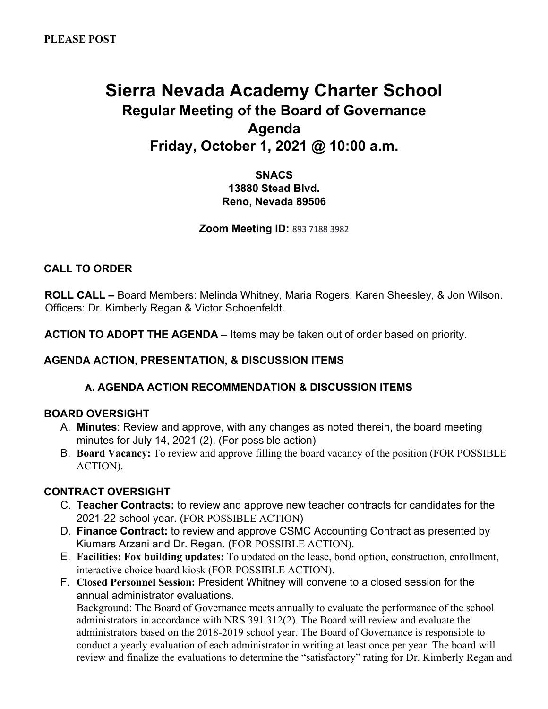# **Sierra Nevada Academy Charter School Regular Meeting of the Board of Governance Agenda Friday, October 1, 2021 @ 10:00 a.m.**

# **SNACS 13880 Stead Blvd. Reno, Nevada 89506**

**Zoom Meeting ID:** 893 7188 3982

# **CALL TO ORDER**

**ROLL CALL –** Board Members: Melinda Whitney, Maria Rogers, Karen Sheesley, & Jon Wilson. Officers: Dr. Kimberly Regan & Victor Schoenfeldt.

**ACTION TO ADOPT THE AGENDA** – Items may be taken out of order based on priority.

# **AGENDA ACTION, PRESENTATION, & DISCUSSION ITEMS**

# **A. AGENDA ACTION RECOMMENDATION & DISCUSSION ITEMS**

# **BOARD OVERSIGHT**

- A. **Minutes**: Review and approve, with any changes as noted therein, the board meeting minutes for July 14, 2021 (2). (For possible action)
- B. **Board Vacancy:** To review and approve filling the board vacancy of the position (FOR POSSIBLE ACTION).

# **CONTRACT OVERSIGHT**

- C. **Teacher Contracts:** to review and approve new teacher contracts for candidates for the 2021-22 school year. (FOR POSSIBLE ACTION)
- D. **Finance Contract:** to review and approve CSMC Accounting Contract as presented by Kiumars Arzani and Dr. Regan. (FOR POSSIBLE ACTION).
- E. **Facilities: Fox building updates:** To updated on the lease, bond option, construction, enrollment, interactive choice board kiosk (FOR POSSIBLE ACTION).
- F. **Closed Personnel Session:** President Whitney will convene to a closed session for the annual administrator evaluations.

Background: The Board of Governance meets annually to evaluate the performance of the school administrators in accordance with NRS 391.312(2). The Board will review and evaluate the administrators based on the 2018-2019 school year. The Board of Governance is responsible to conduct a yearly evaluation of each administrator in writing at least once per year. The board will review and finalize the evaluations to determine the "satisfactory" rating for Dr. Kimberly Regan and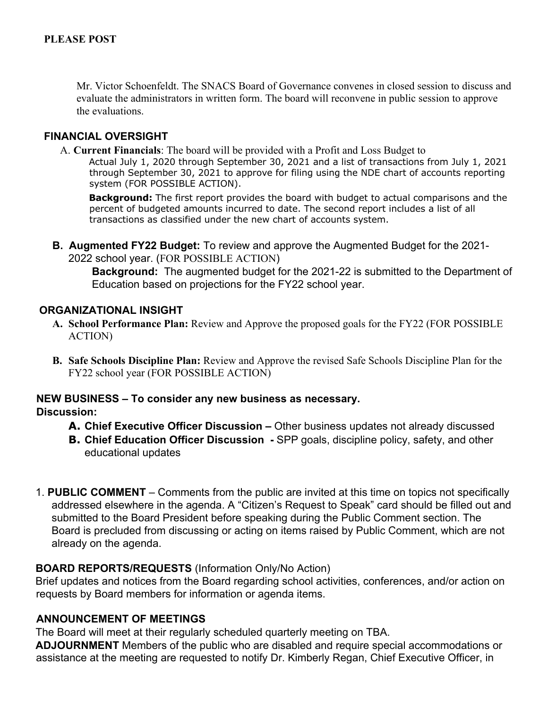Mr. Victor Schoenfeldt. The SNACS Board of Governance convenes in closed session to discuss and evaluate the administrators in written form. The board will reconvene in public session to approve the evaluations.

### **FINANCIAL OVERSIGHT**

A. **Current Financials**: The board will be provided with a Profit and Loss Budget to

Actual July 1, 2020 through September 30, 2021 and a list of transactions from July 1, 2021 through September 30, 2021 to approve for filing using the NDE chart of accounts reporting system (FOR POSSIBLE ACTION).

**Background:** The first report provides the board with budget to actual comparisons and the percent of budgeted amounts incurred to date. The second report includes a list of all transactions as classified under the new chart of accounts system.

**B. Augmented FY22 Budget:** To review and approve the Augmented Budget for the 2021- 2022 school year. (FOR POSSIBLE ACTION)

**Background:** The augmented budget for the 2021-22 is submitted to the Department of Education based on projections for the FY22 school year.

#### **ORGANIZATIONAL INSIGHT**

- **A. School Performance Plan:** Review and Approve the proposed goals for the FY22 (FOR POSSIBLE ACTION)
- **B. Safe Schools Discipline Plan:** Review and Approve the revised Safe Schools Discipline Plan for the FY22 school year (FOR POSSIBLE ACTION)

# **NEW BUSINESS – To consider any new business as necessary.**

#### **Discussion:**

- **A. Chief Executive Officer Discussion –** Other business updates not already discussed
- **B. Chief Education Officer Discussion -** SPP goals, discipline policy, safety, and other educational updates
- 1. **PUBLIC COMMENT** Comments from the public are invited at this time on topics not specifically addressed elsewhere in the agenda. A "Citizen's Request to Speak" card should be filled out and submitted to the Board President before speaking during the Public Comment section. The Board is precluded from discussing or acting on items raised by Public Comment, which are not already on the agenda.

# **BOARD REPORTS/REQUESTS** (Information Only/No Action)

Brief updates and notices from the Board regarding school activities, conferences, and/or action on requests by Board members for information or agenda items.

# **ANNOUNCEMENT OF MEETINGS**

The Board will meet at their regularly scheduled quarterly meeting on TBA.

**ADJOURNMENT** Members of the public who are disabled and require special accommodations or assistance at the meeting are requested to notify Dr. Kimberly Regan, Chief Executive Officer, in